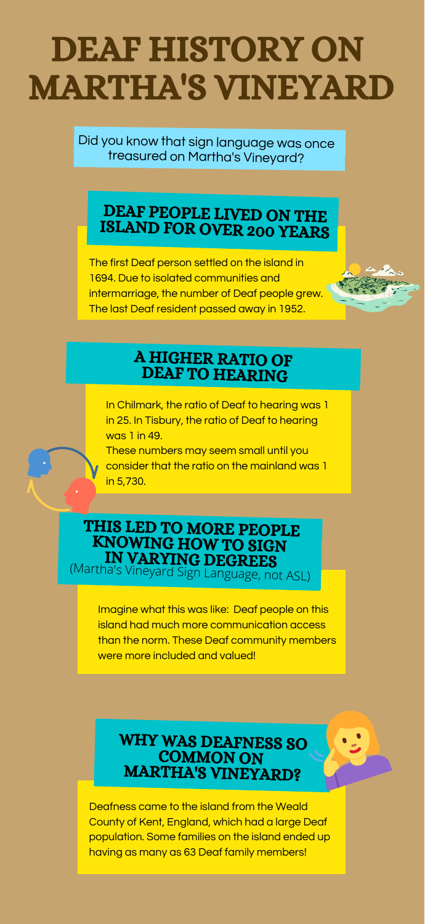# DEAF HISTORY ON MARTHA'S VINEYARD

Did you know that sign language was once treasured on Martha's Vineyard?

# DEAF PEOPLE LIVED ON THE ISLAND FOR OVER <sup>200</sup> YEARS

The first Deaf person settled on the island in 1694. Due to isolated communities and intermarriage, the number of Deaf people grew. The last Deaf resident passed away in 1952.

## A HIGHER RATIO OF DEAF TO HEARING

In Chilmark, the ratio of Deaf to hearing was 1 in 25. In Tisbury, the ratio of Deaf to hearing was 1 in 49.

These numbers may seem small until you consider that the ratio on the mainland was 1 in 5,730.

### THIS LED TO MORE PEOPLE KNOWING HOW TO SIGN IN VARYING DEGREES

(Martha's Vineyard Sign Language, not ASL)

Imagine what this was like: Deaf people on this island had much more communication access than the norm. These Deaf community members were more included and valued!

#### WHY WAS DEAFNESS SO COMMON ON MARTHA'S VINEYARD?

Deafness came to the island from the Weald County of Kent, England, which had a large Deaf population. Some families on the island ended up having as many as 63 Deaf family members!